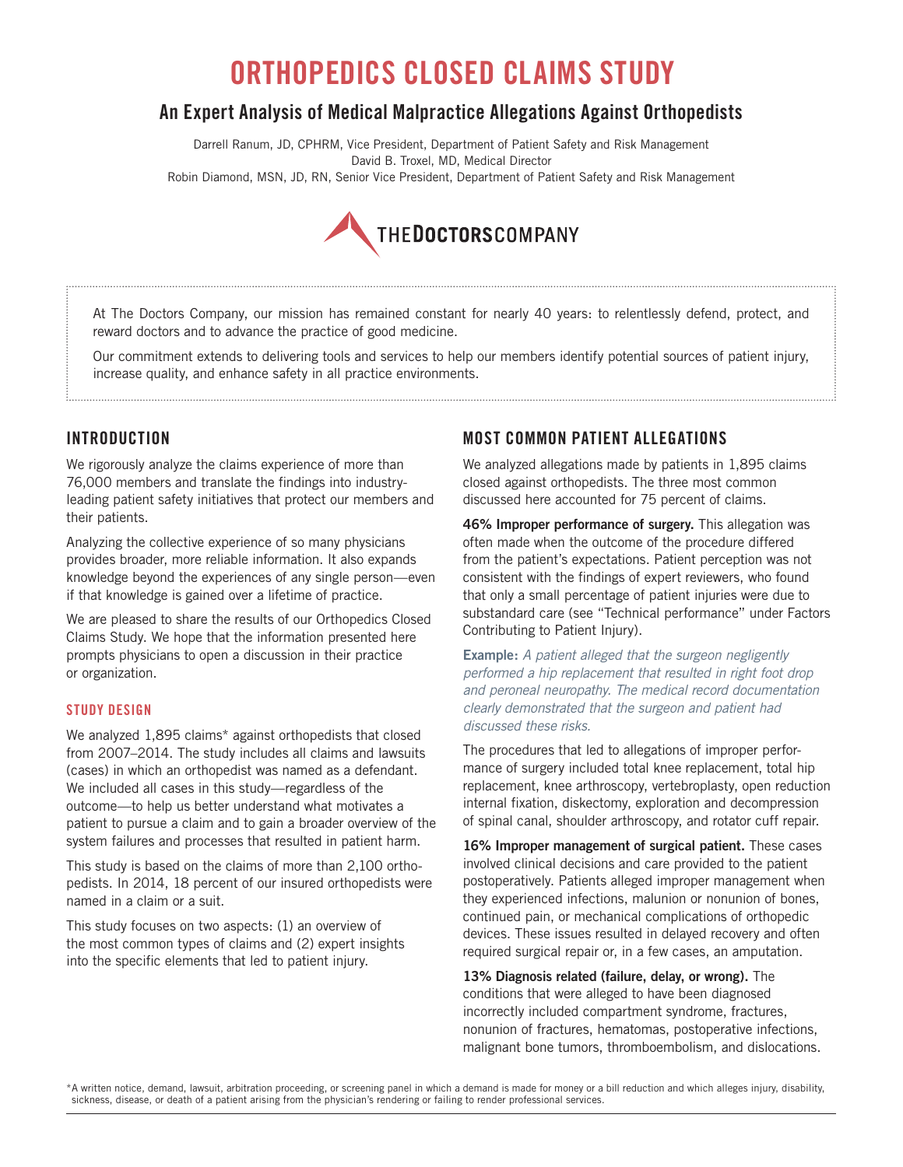# **ORTHOPEDICS CLOSED CLAIMS STUDY**

## **An Expert Analysis of Medical Malpractice Allegations Against Orthopedists**

Darrell Ranum, JD, CPHRM, Vice President, Department of Patient Safety and Risk Management David B. Troxel, MD, Medical Director Robin Diamond, MSN, JD, RN, Senior Vice President, Department of Patient Safety and Risk Management



At The Doctors Company, our mission has remained constant for nearly 40 years: to relentlessly defend, protect, and reward doctors and to advance the practice of good medicine.

Our commitment extends to delivering tools and services to help our members identify potential sources of patient injury, increase quality, and enhance safety in all practice environments.

## **INTRODUCTION**

We rigorously analyze the claims experience of more than 76,000 members and translate the findings into industryleading patient safety initiatives that protect our members and their patients.

Analyzing the collective experience of so many physicians provides broader, more reliable information. It also expands knowledge beyond the experiences of any single person—even if that knowledge is gained over a lifetime of practice.

We are pleased to share the results of our Orthopedics Closed Claims Study. We hope that the information presented here prompts physicians to open a discussion in their practice or organization.

#### **STUDY DESIGN**

We analyzed 1,895 claims\* against orthopedists that closed from 2007–2014. The study includes all claims and lawsuits (cases) in which an orthopedist was named as a defendant. We included all cases in this study—regardless of the outcome—to help us better understand what motivates a patient to pursue a claim and to gain a broader overview of the system failures and processes that resulted in patient harm.

This study is based on the claims of more than 2,100 orthopedists. In 2014, 18 percent of our insured orthopedists were named in a claim or a suit.

This study focuses on two aspects: (1) an overview of the most common types of claims and (2) expert insights into the specific elements that led to patient injury.

## **MOST COMMON PATIENT ALLEGATIONS**

We analyzed allegations made by patients in 1,895 claims closed against orthopedists. The three most common discussed here accounted for 75 percent of claims.

**46% Improper performance of surgery.** This allegation was often made when the outcome of the procedure differed from the patient's expectations. Patient perception was not consistent with the findings of expert reviewers, who found that only a small percentage of patient injuries were due to substandard care (see "Technical performance" under Factors Contributing to Patient Injury).

**Example:** *A patient alleged that the surgeon negligently performed a hip replacement that resulted in right foot drop and peroneal neuropathy. The medical record documentation clearly demonstrated that the surgeon and patient had discussed these risks.*

The procedures that led to allegations of improper performance of surgery included total knee replacement, total hip replacement, knee arthroscopy, vertebroplasty, open reduction internal fixation, diskectomy, exploration and decompression of spinal canal, shoulder arthroscopy, and rotator cuff repair.

**16% Improper management of surgical patient.** These cases involved clinical decisions and care provided to the patient postoperatively. Patients alleged improper management when they experienced infections, malunion or nonunion of bones, continued pain, or mechanical complications of orthopedic devices. These issues resulted in delayed recovery and often required surgical repair or, in a few cases, an amputation.

**13% Diagnosis related (failure, delay, or wrong).** The conditions that were alleged to have been diagnosed incorrectly included compartment syndrome, fractures, nonunion of fractures, hematomas, postoperative infections, malignant bone tumors, thromboembolism, and dislocations.

\*A written notice, demand, lawsuit, arbitration proceeding, or screening panel in which a demand is made for money or a bill reduction and which alleges injury, disability, sickness, disease, or death of a patient arising from the physician's rendering or failing to render professional services.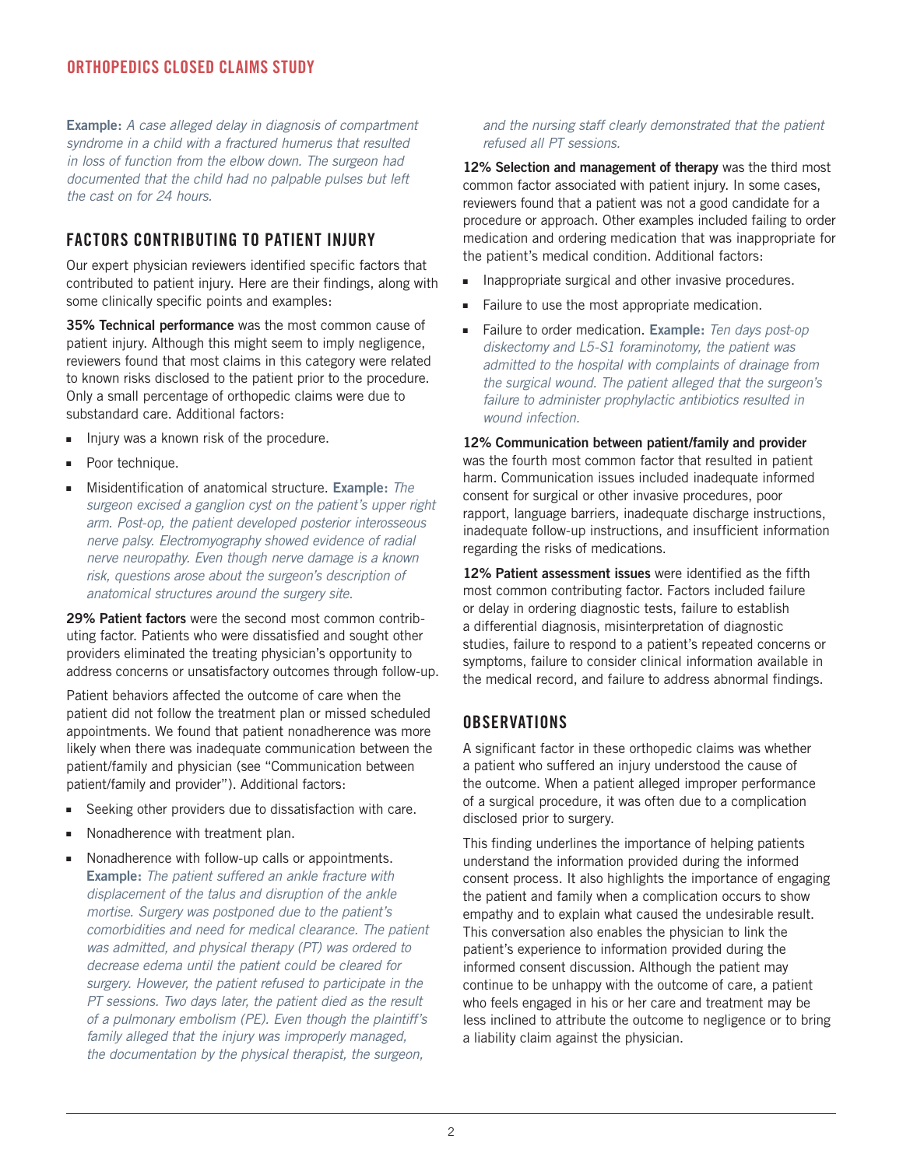#### **ORTHOPEDICS CLOSED CLAIMS STUDY**

**Example:** *A case alleged delay in diagnosis of compartment syndrome in a child with a fractured humerus that resulted in loss of function from the elbow down. The surgeon had documented that the child had no palpable pulses but left the cast on for 24 hours.*

#### **FACTORS CONTRIBUTING TO PATIENT INJURY**

Our expert physician reviewers identified specific factors that contributed to patient injury. Here are their findings, along with some clinically specific points and examples:

**35% Technical performance** was the most common cause of patient injury. Although this might seem to imply negligence, reviewers found that most claims in this category were related to known risks disclosed to the patient prior to the procedure. Only a small percentage of orthopedic claims were due to substandard care. Additional factors:

- Injury was a known risk of the procedure.
- Poor technique.
- <sup>n</sup> Misidentification of anatomical structure. **Example:** *The surgeon excised a ganglion cyst on the patient's upper right arm. Post-op, the patient developed posterior interosseous nerve palsy. Electromyography showed evidence of radial nerve neuropathy. Even though nerve damage is a known risk, questions arose about the surgeon's description of anatomical structures around the surgery site.*

**29% Patient factors** were the second most common contributing factor. Patients who were dissatisfied and sought other providers eliminated the treating physician's opportunity to address concerns or unsatisfactory outcomes through follow-up.

Patient behaviors affected the outcome of care when the patient did not follow the treatment plan or missed scheduled appointments. We found that patient nonadherence was more likely when there was inadequate communication between the patient/family and physician (see "Communication between patient/family and provider"). Additional factors:

- **EXECT** Seeking other providers due to dissatisfaction with care.
- Nonadherence with treatment plan.
- **Nonadherence with follow-up calls or appointments. Example:** *The patient suffered an ankle fracture with displacement of the talus and disruption of the ankle mortise. Surgery was postponed due to the patient's comorbidities and need for medical clearance. The patient was admitted, and physical therapy (PT) was ordered to decrease edema until the patient could be cleared for surgery. However, the patient refused to participate in the PT sessions. Two days later, the patient died as the result of a pulmonary embolism (PE). Even though the plaintiff's family alleged that the injury was improperly managed, the documentation by the physical therapist, the surgeon,*

#### *and the nursing staff clearly demonstrated that the patient refused all PT sessions.*

**12% Selection and management of therapy** was the third most common factor associated with patient injury. In some cases, reviewers found that a patient was not a good candidate for a procedure or approach. Other examples included failing to order medication and ordering medication that was inappropriate for the patient's medical condition. Additional factors:

- $\blacksquare$  Inappropriate surgical and other invasive procedures.
- Failure to use the most appropriate medication.
- <sup>n</sup> Failure to order medication. **Example:** *Ten days post-op diskectomy and L5-S1 foraminotomy, the patient was admitted to the hospital with complaints of drainage from the surgical wound. The patient alleged that the surgeon's failure to administer prophylactic antibiotics resulted in wound infection.*

**12% Communication between patient/family and provider**  was the fourth most common factor that resulted in patient harm. Communication issues included inadequate informed consent for surgical or other invasive procedures, poor rapport, language barriers, inadequate discharge instructions, inadequate follow-up instructions, and insufficient information regarding the risks of medications.

**12% Patient assessment issues** were identified as the fifth most common contributing factor. Factors included failure or delay in ordering diagnostic tests, failure to establish a differential diagnosis, misinterpretation of diagnostic studies, failure to respond to a patient's repeated concerns or symptoms, failure to consider clinical information available in the medical record, and failure to address abnormal findings.

#### **OBSERVATIONS**

A significant factor in these orthopedic claims was whether a patient who suffered an injury understood the cause of the outcome. When a patient alleged improper performance of a surgical procedure, it was often due to a complication disclosed prior to surgery.

This finding underlines the importance of helping patients understand the information provided during the informed consent process. It also highlights the importance of engaging the patient and family when a complication occurs to show empathy and to explain what caused the undesirable result. This conversation also enables the physician to link the patient's experience to information provided during the informed consent discussion. Although the patient may continue to be unhappy with the outcome of care, a patient who feels engaged in his or her care and treatment may be less inclined to attribute the outcome to negligence or to bring a liability claim against the physician.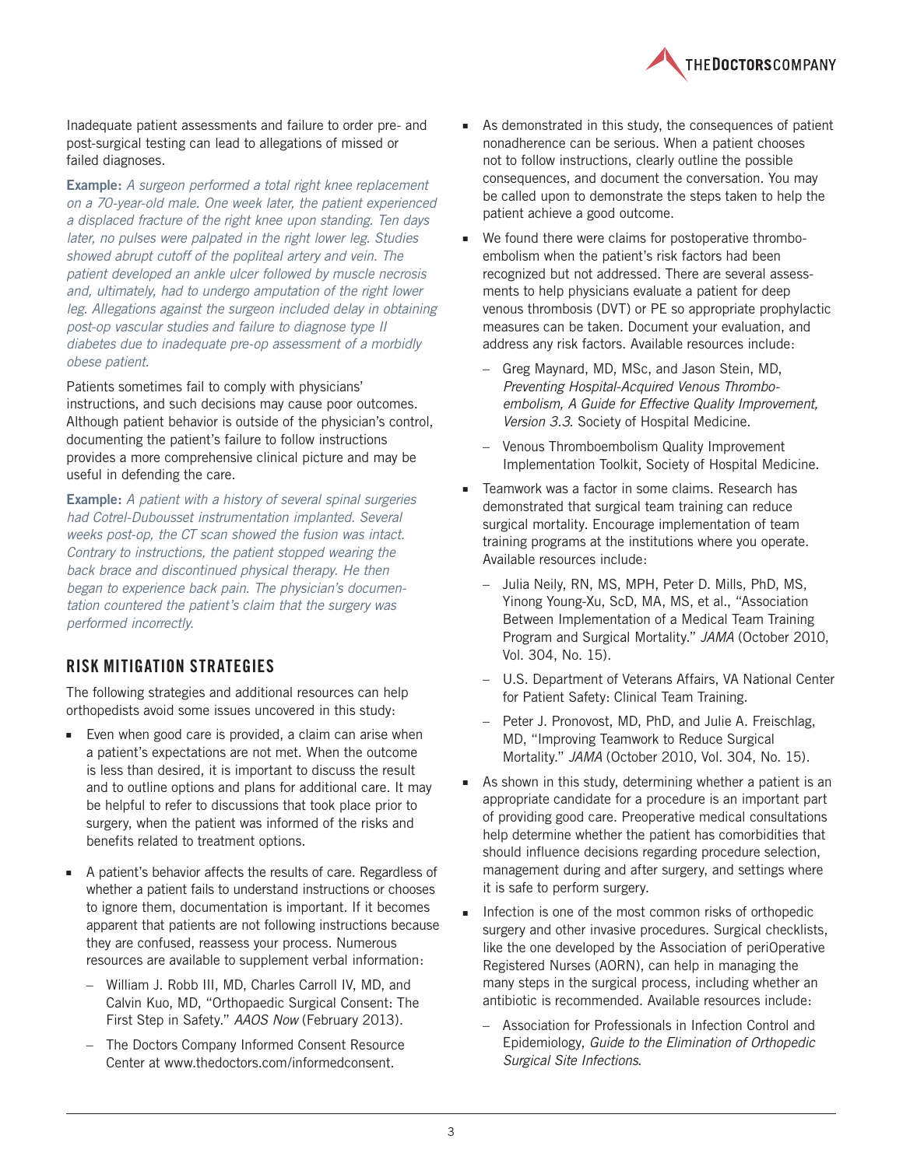

Inadequate patient assessments and failure to order pre- and post-surgical testing can lead to allegations of missed or failed diagnoses.

**Example:** *A surgeon performed a total right knee replacement on a 70-year-old male. One week later, the patient experienced a displaced fracture of the right knee upon standing. Ten days later, no pulses were palpated in the right lower leg. Studies showed abrupt cutoff of the popliteal artery and vein. The patient developed an ankle ulcer followed by muscle necrosis and, ultimately, had to undergo amputation of the right lower*  leg. Allegations against the surgeon included delay in obtaining *post-op vascular studies and failure to diagnose type II diabetes due to inadequate pre-op assessment of a morbidly obese patient.* 

Patients sometimes fail to comply with physicians' instructions, and such decisions may cause poor outcomes. Although patient behavior is outside of the physician's control, documenting the patient's failure to follow instructions provides a more comprehensive clinical picture and may be useful in defending the care.

**Example:** *A patient with a history of several spinal surgeries had Cotrel-Dubousset instrumentation implanted. Several weeks post-op, the CT scan showed the fusion was intact. Contrary to instructions, the patient stopped wearing the back brace and discontinued physical therapy. He then began to experience back pain. The physician's documentation countered the patient's claim that the surgery was performed incorrectly.* 

#### **RISK MITIGATION STRATEGIES**

The following strategies and additional resources can help orthopedists avoid some issues uncovered in this study:

- $\blacksquare$  Even when good care is provided, a claim can arise when a patient's expectations are not met. When the outcome is less than desired, it is important to discuss the result and to outline options and plans for additional care. It may be helpful to refer to discussions that took place prior to surgery, when the patient was informed of the risks and benefits related to treatment options.
- A patient's behavior affects the results of care. Regardless of whether a patient fails to understand instructions or chooses to ignore them, documentation is important. If it becomes apparent that patients are not following instructions because they are confused, reassess your process. Numerous resources are available to supplement verbal information:
	- William J. Robb III, MD, Charles Carroll IV, MD, and Calvin Kuo, MD, "Orthopaedic Surgical Consent: The First Step in Safety." *AAOS Now* (February 2013).
	- The Doctors Company Informed Consent Resource Center at www.thedoctors.com/informedconsent.
- <sup>n</sup> As demonstrated in this study, the consequences of patient nonadherence can be serious. When a patient chooses not to follow instructions, clearly outline the possible consequences, and document the conversation. You may be called upon to demonstrate the steps taken to help the patient achieve a good outcome.
- We found there were claims for postoperative thromboembolism when the patient's risk factors had been recognized but not addressed. There are several assessments to help physicians evaluate a patient for deep venous thrombosis (DVT) or PE so appropriate prophylactic measures can be taken. Document your evaluation, and address any risk factors. Available resources include:
	- Greg Maynard, MD, MSc, and Jason Stein, MD, *Preventing Hospital-Acquired Venous Thromboembolism, A Guide for Effective Quality Improvement, Version 3.3*. Society of Hospital Medicine.
	- Venous Thromboembolism Quality Improvement Implementation Toolkit, Society of Hospital Medicine.
- Teamwork was a factor in some claims. Research has demonstrated that surgical team training can reduce surgical mortality. Encourage implementation of team training programs at the institutions where you operate. Available resources include:
	- Julia Neily, RN, MS, MPH, Peter D. Mills, PhD, MS, Yinong Young-Xu, ScD, MA, MS, et al., "Association Between Implementation of a Medical Team Training Program and Surgical Mortality." *JAMA* (October 2010, Vol. 304, No. 15).
	- U.S. Department of Veterans Affairs, VA National Center for Patient Safety: Clinical Team Training.
	- Peter J. Pronovost, MD, PhD, and Julie A. Freischlag, MD, "Improving Teamwork to Reduce Surgical Mortality." *JAMA* (October 2010, Vol. 304, No. 15).
- $\blacksquare$  As shown in this study, determining whether a patient is an appropriate candidate for a procedure is an important part of providing good care. Preoperative medical consultations help determine whether the patient has comorbidities that should influence decisions regarding procedure selection, management during and after surgery, and settings where it is safe to perform surgery.
- **n** Infection is one of the most common risks of orthopedic surgery and other invasive procedures. Surgical checklists, like the one developed by the Association of periOperative Registered Nurses (AORN), can help in managing the many steps in the surgical process, including whether an antibiotic is recommended. Available resources include:
	- Association for Professionals in Infection Control and Epidemiology, *Guide to the Elimination of Orthopedic Surgical Site Infections*.